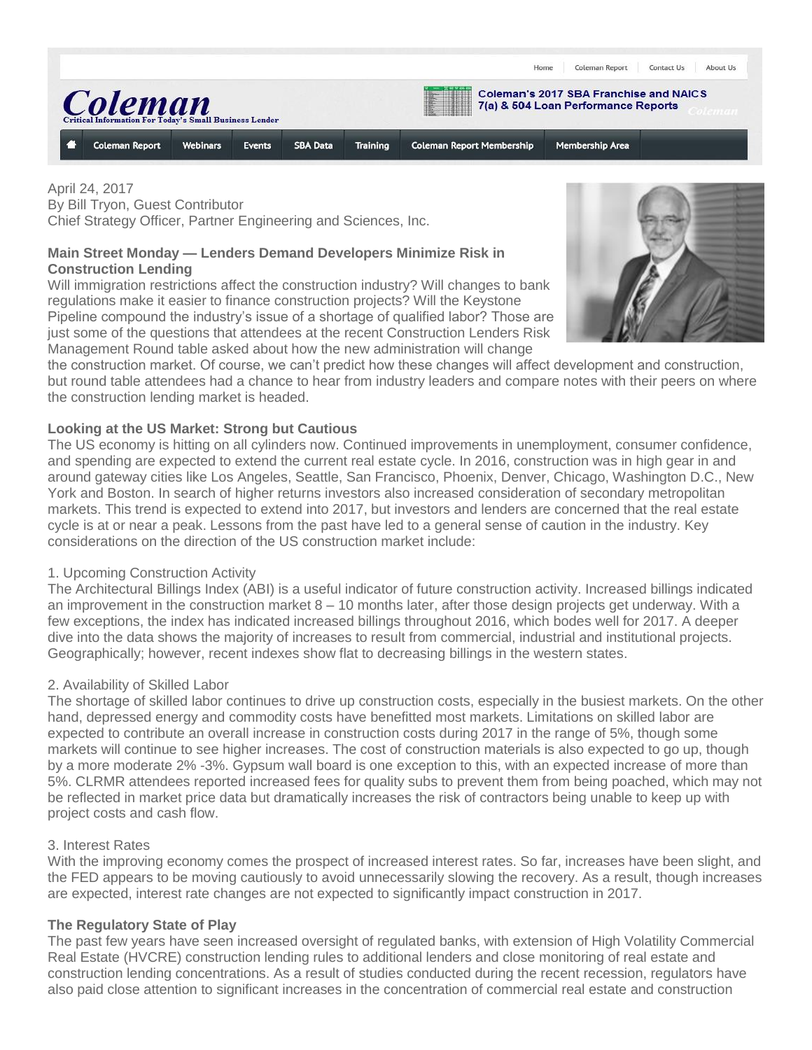

April 24, 2017 By Bill Tryon, Guest Contributor Chief Strategy Officer, Partner Engineering and Sciences, Inc.

# **Main Street Monday — Lenders Demand Developers Minimize Risk in Construction Lending**

Will immigration restrictions affect the construction industry? Will changes to bank regulations make it easier to finance construction projects? Will the Keystone Pipeline compound the industry's issue of a shortage of qualified labor? Those are just some of the questions that attendees at the recent Construction Lenders Risk Management Round table asked about how the new administration will change



the construction market. Of course, we can't predict how these changes will affect development and construction, but round table attendees had a chance to hear from industry leaders and compare notes with their peers on where the construction lending market is headed.

## **Looking at the US Market: Strong but Cautious**

The US economy is hitting on all cylinders now. Continued improvements in unemployment, consumer confidence, and spending are expected to extend the current real estate cycle. In 2016, construction was in high gear in and around gateway cities like Los Angeles, Seattle, San Francisco, Phoenix, Denver, Chicago, Washington D.C., New York and Boston. In search of higher returns investors also increased consideration of secondary metropolitan markets. This trend is expected to extend into 2017, but investors and lenders are concerned that the real estate cycle is at or near a peak. Lessons from the past have led to a general sense of caution in the industry. Key considerations on the direction of the US construction market include:

## 1. Upcoming Construction Activity

The Architectural Billings Index (ABI) is a useful indicator of future construction activity. Increased billings indicated an improvement in the construction market  $8 - 10$  months later, after those design projects get underway. With a few exceptions, the index has indicated increased billings throughout 2016, which bodes well for 2017. A deeper dive into the data shows the majority of increases to result from commercial, industrial and institutional projects. Geographically; however, recent indexes show flat to decreasing billings in the western states.

## 2. Availability of Skilled Labor

The shortage of skilled labor continues to drive up construction costs, especially in the busiest markets. On the other hand, depressed energy and commodity costs have benefitted most markets. Limitations on skilled labor are expected to contribute an overall increase in construction costs during 2017 in the range of 5%, though some markets will continue to see higher increases. The cost of construction materials is also expected to go up, though by a more moderate 2% -3%. Gypsum wall board is one exception to this, with an expected increase of more than 5%. CLRMR attendees reported increased fees for quality subs to prevent them from being poached, which may not be reflected in market price data but dramatically increases the risk of contractors being unable to keep up with project costs and cash flow.

## 3. Interest Rates

With the improving economy comes the prospect of increased interest rates. So far, increases have been slight, and the FED appears to be moving cautiously to avoid unnecessarily slowing the recovery. As a result, though increases are expected, interest rate changes are not expected to significantly impact construction in 2017.

## **The Regulatory State of Play**

The past few years have seen increased oversight of regulated banks, with extension of High Volatility Commercial Real Estate (HVCRE) construction lending rules to additional lenders and close monitoring of real estate and construction lending concentrations. As a result of studies conducted during the recent recession, regulators have also paid close attention to significant increases in the concentration of commercial real estate and construction